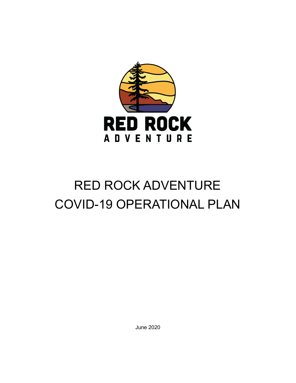

# RED ROCK ADVENTURE COVID-19 OPERATIONAL PLAN

June 2020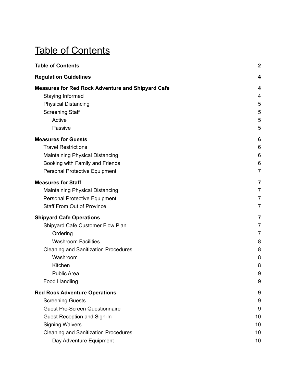## <span id="page-1-0"></span>Table of Contents

| <b>Table of Contents</b>                                                     |                |
|------------------------------------------------------------------------------|----------------|
| <b>Regulation Guidelines</b>                                                 | 4              |
| <b>Measures for Red Rock Adventure and Shipyard Cafe</b><br>Staying Informed | 4<br>4         |
| <b>Physical Distancing</b>                                                   | 5              |
| <b>Screening Staff</b>                                                       | 5              |
| Active                                                                       | 5              |
| Passive                                                                      | 5              |
| <b>Measures for Guests</b>                                                   | 6              |
| <b>Travel Restrictions</b>                                                   | 6              |
| <b>Maintaining Physical Distancing</b>                                       | 6              |
| Booking with Family and Friends                                              | 6              |
| <b>Personal Protective Equipment</b>                                         | $\overline{7}$ |
| <b>Measures for Staff</b>                                                    | 7              |
| <b>Maintaining Physical Distancing</b>                                       | $\overline{7}$ |
| <b>Personal Protective Equipment</b>                                         | $\overline{7}$ |
| <b>Staff From Out of Province</b>                                            | $\overline{7}$ |
| <b>Shipyard Cafe Operations</b>                                              | 7              |
| Shipyard Cafe Customer Flow Plan                                             | 7              |
| Ordering                                                                     | $\overline{7}$ |
| <b>Washroom Facilities</b>                                                   | 8              |
| <b>Cleaning and Sanitization Procedures</b>                                  | 8              |
| Washroom                                                                     | 8              |
| Kitchen                                                                      | 8              |
| <b>Public Area</b>                                                           | 9              |
| Food Handling                                                                | 9              |
| <b>Red Rock Adventure Operations</b>                                         | 9              |
| <b>Screening Guests</b>                                                      | 9              |
| <b>Guest Pre-Screen Questionnaire</b>                                        | 9              |
| Guest Reception and Sign-In                                                  | 10             |
| <b>Signing Waivers</b>                                                       | 10             |
| <b>Cleaning and Sanitization Procedures</b>                                  | 10             |
| Day Adventure Equipment                                                      | 10             |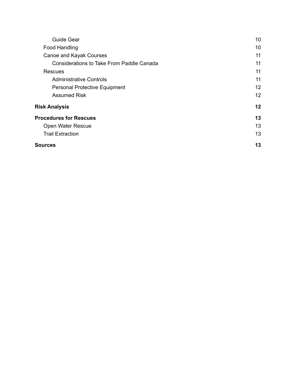| <b>Guide Gear</b>                                | 10 |
|--------------------------------------------------|----|
| Food Handling                                    | 10 |
| Canoe and Kayak Courses                          | 11 |
| <b>Considerations to Take From Paddle Canada</b> | 11 |
| Rescues                                          | 11 |
| <b>Administrative Controls</b>                   | 11 |
| <b>Personal Protective Equipment</b>             | 12 |
| <b>Assumed Risk</b>                              | 12 |
| <b>Risk Analysis</b>                             | 12 |
| <b>Procedures for Rescues</b>                    | 13 |
| Open Water Rescue                                | 13 |
| <b>Trail Extraction</b>                          | 13 |
| Sources                                          | 13 |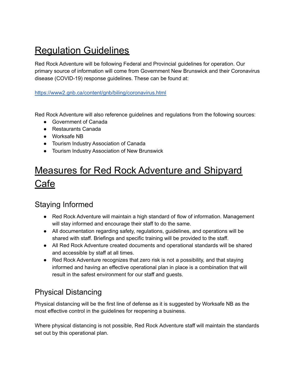## <span id="page-3-0"></span>Regulation Guidelines

Red Rock Adventure will be following Federal and Provincial guidelines for operation. Our primary source of information will come from Government New Brunswick and their Coronavirus disease (COVID-19) response guidelines. These can be found at:

<https://www2.gnb.ca/content/gnb/biling/coronavirus.html>

Red Rock Adventure will also reference guidelines and regulations from the following sources:

- Government of Canada
- Restaurants Canada
- Worksafe NB
- Tourism Industry Association of Canada
- Tourism Industry Association of New Brunswick

## <span id="page-3-1"></span>Measures for Red Rock Adventure and Shipyard Cafe

### <span id="page-3-2"></span>Staying Informed

- Red Rock Adventure will maintain a high standard of flow of information. Management will stay informed and encourage their staff to do the same.
- All documentation regarding safety, regulations, guidelines, and operations will be shared with staff. Briefings and specific training will be provided to the staff.
- All Red Rock Adventure created documents and operational standards will be shared and accessible by staff at all times.
- Red Rock Adventure recognizes that zero risk is not a possibility, and that staying informed and having an effective operational plan in place is a combination that will result in the safest environment for our staff and guests.

## <span id="page-3-3"></span>Physical Distancing

Physical distancing will be the first line of defense as it is suggested by Worksafe NB as the most effective control in the guidelines for reopening a business.

Where physical distancing is not possible, Red Rock Adventure staff will maintain the standards set out by this operational plan.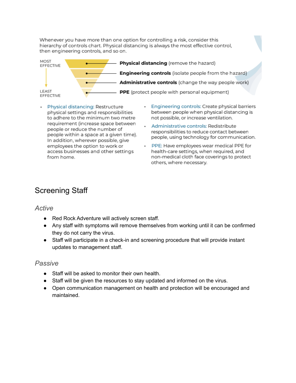Whenever you have more than one option for controlling a risk, consider this hierarchy of controls chart. Physical distancing is always the most effective control, then engineering controls, and so on.



- · Physical distancing: Restructure physical settings and responsibilities to adhere to the minimum two metre requirement (increase space between people or reduce the number of people within a space at a given time). In addition, wherever possible, give employees the option to work or access businesses and other settings from home.
- · Engineering controls: Create physical barriers between people when physical distancing is not possible, or increase ventilation.
- · Administrative controls: Redistribute responsibilities to reduce contact between people, using technology for communication.
- . PPE: Have employees wear medical PPE for health-care settings, when required, and non-medical cloth face coverings to protect others, where necessary.

## <span id="page-4-0"></span>Screening Staff

#### <span id="page-4-1"></span>*Active*

- Red Rock Adventure will actively screen staff.
- Any staff with symptoms will remove themselves from working until it can be confirmed they do not carry the virus.
- Staff will participate in a check-in and screening procedure that will provide instant updates to management staff.

#### <span id="page-4-2"></span>*Passive*

- Staff will be asked to monitor their own health.
- Staff will be given the resources to stay updated and informed on the virus.
- Open communication management on health and protection will be encouraged and maintained.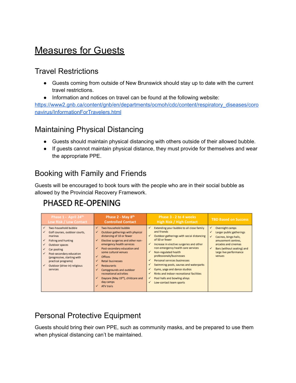## <span id="page-5-0"></span>**Measures for Guests**

### <span id="page-5-1"></span>Travel Restrictions

- Guests coming from outside of New Brunswick should stay up to date with the current travel restrictions.
- Information and notices on travel can be found at the following website:

[https://www2.gnb.ca/content/gnb/en/departments/ocmoh/cdc/content/respiratory\\_diseases/coro](https://www2.gnb.ca/content/gnb/en/departments/ocmoh/cdc/content/respiratory_diseases/coronavirus/InformationForTravelers.html) [navirus/InformationForTravelers.html](https://www2.gnb.ca/content/gnb/en/departments/ocmoh/cdc/content/respiratory_diseases/coronavirus/InformationForTravelers.html)

## <span id="page-5-2"></span>Maintaining Physical Distancing

- Guests should maintain physical distancing with others outside of their allowed bubble.
- If guests cannot maintain physical distance, they must provide for themselves and wear the appropriate PPE.

## <span id="page-5-3"></span>Booking with Family and Friends

Guests will be encouraged to book tours with the people who are in their social bubble as allowed by the Provincial Recovery Framework.

## PHASED RE-OPENING

| Phase 1 - April 24th                                                                                                                                                                                                                                        | Phase 2 - May 8th                                                                                                                                                                                                                                                                                                                                                                                                                | Phase 3 - 2 to 4 weeks                                                                                                                                                                                                                                                                                                                                                                                                                                                                                                                      | <b>TBD Based on Success</b>                                                                                                                                                                        |
|-------------------------------------------------------------------------------------------------------------------------------------------------------------------------------------------------------------------------------------------------------------|----------------------------------------------------------------------------------------------------------------------------------------------------------------------------------------------------------------------------------------------------------------------------------------------------------------------------------------------------------------------------------------------------------------------------------|---------------------------------------------------------------------------------------------------------------------------------------------------------------------------------------------------------------------------------------------------------------------------------------------------------------------------------------------------------------------------------------------------------------------------------------------------------------------------------------------------------------------------------------------|----------------------------------------------------------------------------------------------------------------------------------------------------------------------------------------------------|
| Low Risk / Low Contact                                                                                                                                                                                                                                      | <b>Controlled Contact</b>                                                                                                                                                                                                                                                                                                                                                                                                        | <b>High Risk / High Contact</b>                                                                                                                                                                                                                                                                                                                                                                                                                                                                                                             |                                                                                                                                                                                                    |
| Two-household bubble<br>✓<br>Golf courses, outdoor courts,<br>marinas<br>Fishing and hunting<br>Outdoor spaces<br>Car pooling<br>Post-secondary education<br>(progressive, starting with<br>practical programs)<br>Outdoor (drive-in) religious<br>services | Two-household bubble<br>✔<br>Outdoor gatherings with physical<br>✔<br>distancing of 10 or fewer<br>Elective surgeries and other non-<br>✔<br>emergency health services<br>Post-secondary education and<br>some cultural venues<br><b>Offices</b><br>✓<br>Retail businesses<br>✔<br><b>Restaurants</b><br>✔<br>Campgrounds and outdoor<br>recreational activities<br>Daycare (May 19th), childcare and<br>day camps<br>ATV trails | Extending your bubble to all close family<br>✔<br>and friends<br>Outdoor gatherings with social distancing<br>✔<br>of 50 or fewer<br>Increase in elective surgeries and other<br>$\checkmark$<br>non-emergency health care services<br>Non-regulated health<br>√<br>professionals/businesses<br>Personal services businesses<br>√<br>Swimming pools, saunas and waterparks<br>✔<br>Gyms, yoga and dance studios<br>✔<br>Rinks and indoor recreational facilities<br>✓<br>Pool halls and bowling alleys<br>✓<br>Low-contact team sports<br>✓ | Overnight camps<br>✔<br>Larger public gatherings<br>✓<br>Casinos, bingo halls,<br>amusement centres,<br>arcades and cinemas<br>✓<br>Bars (without seating) and<br>large live performance<br>venues |

## <span id="page-5-4"></span>Personal Protective Equipment

Guests should bring their own PPE, such as community masks, and be prepared to use them when physical distancing can't be maintained.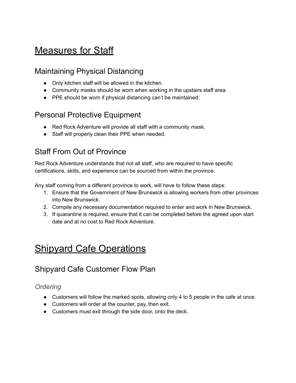## <span id="page-6-0"></span>**Measures for Staff**

### <span id="page-6-1"></span>Maintaining Physical Distancing

- Only kitchen staff will be allowed in the kitchen.
- Community masks should be worn when working in the upstairs staff area.
- PPE should be worn if physical distancing can't be maintained.

### <span id="page-6-2"></span>Personal Protective Equipment

- Red Rock Adventure will provide all staff with a community mask.
- Staff will properly clean their PPE when needed.

## <span id="page-6-3"></span>Staff From Out of Province

Red Rock Adventure understands that not all staff, who are required to have specific certifications, skills, and experience can be sourced from within the province.

Any staff coming from a different province to work, will have to follow these steps:

- 1. Ensure that the Government of New Brunswick is allowing workers from other provinces into New Brunswick.
- 2. Compile any necessary documentation required to enter and work in New Brunswick.
- 3. If quarantine is required, ensure that it can be completed before the agreed upon start date and at no cost to Red Rock Adventure.

## <span id="page-6-4"></span>Shipyard Cafe Operations

## <span id="page-6-5"></span>Shipyard Cafe Customer Flow Plan

#### <span id="page-6-6"></span>*Ordering*

- Customers will follow the marked spots, allowing only 4 to 5 people in the cafe at once.
- Customers will order at the counter, pay, then exit.
- Customers must exit through the side door, onto the deck.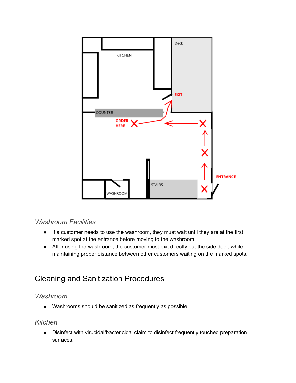

#### <span id="page-7-0"></span>*Washroom Facilities*

- If a customer needs to use the washroom, they must wait until they are at the first marked spot at the entrance before moving to the washroom.
- After using the washroom, the customer must exit directly out the side door, while maintaining proper distance between other customers waiting on the marked spots.

## <span id="page-7-1"></span>Cleaning and Sanitization Procedures

#### <span id="page-7-2"></span>*Washroom*

● Washrooms should be sanitized as frequently as possible.

#### <span id="page-7-3"></span>*Kitchen*

● Disinfect with virucidal/bactericidal claim to disinfect frequently touched preparation surfaces.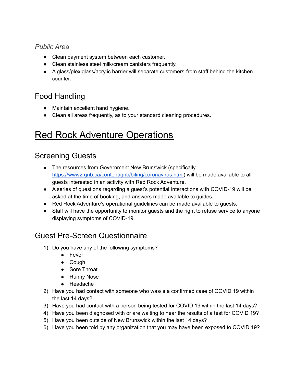#### <span id="page-8-0"></span>*Public Area*

- Clean payment system between each customer.
- Clean stainless steel milk/cream canisters frequently.
- A glass/plexiglass/acrylic barrier will separate customers from staff behind the kitchen counter.

## <span id="page-8-1"></span>Food Handling

- Maintain excellent hand hygiene.
- Clean all areas frequently, as to your standard cleaning procedures.

## <span id="page-8-2"></span>Red Rock Adventure Operations

## <span id="page-8-3"></span>Screening Guests

- The resources from Government New Brunswick (specifically, [https://www2.gnb.ca/content/gnb/biling/coronavirus.html\)](https://www2.gnb.ca/content/gnb/biling/coronavirus.html) will be made available to all guests interested in an activity with Red Rock Adventure.
- A series of questions regarding a guest's potential interactions with COVID-19 will be asked at the time of booking, and answers made available to guides.
- Red Rock Adventure's operational guidelines can be made available to quests.
- Staff will have the opportunity to monitor guests and the right to refuse service to anyone displaying symptoms of COVID-19.

## <span id="page-8-4"></span>Guest Pre-Screen Questionnaire

- 1) Do you have any of the following symptoms?
	- Fever
	- Cough
	- Sore Throat
	- Runny Nose
	- Headache
- 2) Have you had contact with someone who was/is a confirmed case of COVID 19 within the last 14 days?
- 3) Have you had contact with a person being tested for COVID 19 within the last 14 days?
- 4) Have you been diagnosed with or are waiting to hear the results of a test for COVID 19?
- 5) Have you been outside of New Brunswick within the last 14 days?
- 6) Have you been told by any organization that you may have been exposed to COVID 19?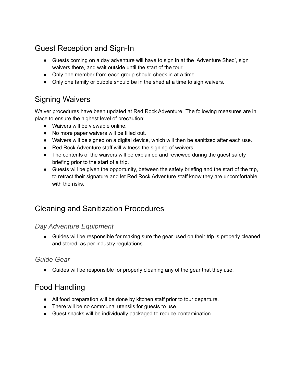## <span id="page-9-0"></span>Guest Reception and Sign-In

- Guests coming on a day adventure will have to sign in at the 'Adventure Shed', sign waivers there, and wait outside until the start of the tour.
- Only one member from each group should check in at a time.
- Only one family or bubble should be in the shed at a time to sign waivers.

## <span id="page-9-1"></span>Signing Waivers

Waiver procedures have been updated at Red Rock Adventure. The following measures are in place to ensure the highest level of precaution:

- Waivers will be viewable online.
- No more paper waivers will be filled out.
- Waivers will be signed on a digital device, which will then be sanitized after each use.
- Red Rock Adventure staff will witness the signing of waivers.
- The contents of the waivers will be explained and reviewed during the quest safety briefing prior to the start of a trip.
- Guests will be given the opportunity, between the safety briefing and the start of the trip, to retract their signature and let Red Rock Adventure staff know they are uncomfortable with the risks.

### <span id="page-9-2"></span>Cleaning and Sanitization Procedures

#### <span id="page-9-3"></span>*Day Adventure Equipment*

● Guides will be responsible for making sure the gear used on their trip is properly cleaned and stored, as per industry regulations.

#### <span id="page-9-4"></span>*Guide Gear*

● Guides will be responsible for properly cleaning any of the gear that they use.

## <span id="page-9-5"></span>Food Handling

- All food preparation will be done by kitchen staff prior to tour departure.
- There will be no communal utensils for guests to use.
- Guest snacks will be individually packaged to reduce contamination.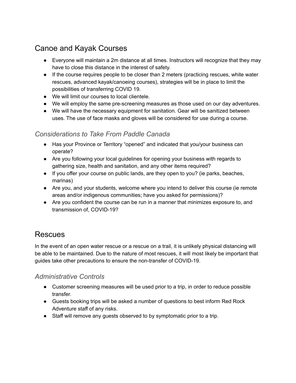## <span id="page-10-0"></span>Canoe and Kayak Courses

- Everyone will maintain a 2m distance at all times. Instructors will recognize that they may have to close this distance in the interest of safety.
- If the course requires people to be closer than 2 meters (practicing rescues, white water rescues, advanced kayak/canoeing courses), strategies will be in place to limit the possibilities of transferring COVID 19.
- We will limit our courses to local clientele.
- We will employ the same pre-screening measures as those used on our day adventures.
- We will have the necessary equipment for sanitation. Gear will be sanitized between uses. The use of face masks and gloves will be considered for use during a course.

#### <span id="page-10-1"></span>*Considerations to Take From Paddle Canada*

- Has your Province or Territory "opened" and indicated that you/your business can operate?
- Are you following your local guidelines for opening your business with regards to gathering size, health and sanitation, and any other items required?
- If you offer your course on public lands, are they open to you? (ie parks, beaches, marinas)
- Are you, and your students, welcome where you intend to deliver this course (ie remote areas and/or indigenous communities; have you asked for permissions)?
- Are you confident the course can be run in a manner that minimizes exposure to, and transmission of, COVID-19?

### <span id="page-10-2"></span>**Rescues**

In the event of an open water rescue or a rescue on a trail, it is unlikely physical distancing will be able to be maintained. Due to the nature of most rescues, it will most likely be important that guides take other precautions to ensure the non-transfer of COVID-19.

#### <span id="page-10-3"></span>*Administrative Controls*

- Customer screening measures will be used prior to a trip, in order to reduce possible transfer.
- Guests booking trips will be asked a number of questions to best inform Red Rock Adventure staff of any risks.
- Staff will remove any guests observed to by symptomatic prior to a trip.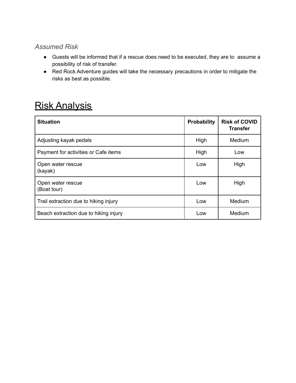#### <span id="page-11-0"></span>*Assumed Risk*

- Guests will be informed that if a rescue does need to be executed, they are to assume a possibility of risk of transfer.
- Red Rock Adventure guides will take the necessary precautions in order to mitigate the risks as best as possible.

## <span id="page-11-1"></span>Risk Analysis

<span id="page-11-2"></span>

| <b>Situation</b>                      | <b>Probability</b> | <b>Risk of COVID</b><br><b>Transfer</b> |
|---------------------------------------|--------------------|-----------------------------------------|
| Adjusting kayak pedals                | High               | Medium                                  |
| Payment for activities or Cafe items  | High               | Low                                     |
| Open water rescue<br>(kayak)          | Low                | High                                    |
| Open water rescue<br>(Boat tour)      | Low                | High                                    |
| Trail extraction due to hiking injury | Low                | Medium                                  |
| Beach extraction due to hiking injury | Low                | Medium                                  |